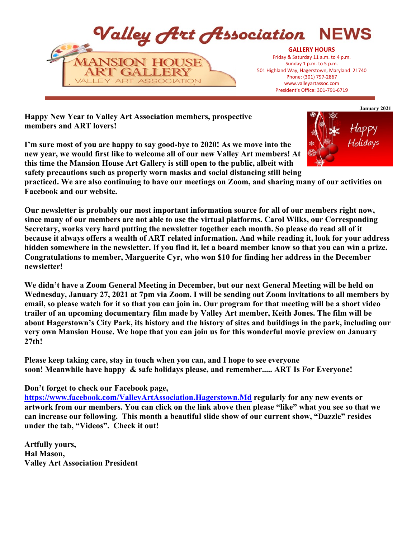

**Happy New Year to Valley Art Association members, prospective members and ART lovers!**

**I'm sure most of you are happy to say good-bye to 2020! As we move into the new year, we would first like to welcome all of our new Valley Art members! At this time the Mansion House Art Gallery is still open to the public, albeit with safety precautions such as properly worn masks and social distancing still being**



**practiced. We are also continuing to have our meetings on Zoom, and sharing many of our activities on Facebook and our website.**

**Our newsletter is probably our most important information source for all of our members right now, since many of our members are not able to use the virtual platforms. Carol Wilks, our Corresponding Secretary, works very hard putting the newsletter together each month. So please do read all of it because it always offers a wealth of ART related information. And while reading it, look for your address hidden somewhere in the newsletter. If you find it, let a board member know so that you can win a prize. Congratulations to member, Marguerite Cyr, who won \$10 for finding her address in the December newsletter!** 

**We didn't have a Zoom General Meeting in December, but our next General Meeting will be held on Wednesday, January 27, 2021 at 7pm via Zoom. I will be sending out Zoom invitations to all members by email, so please watch for it so that you can join in. Our program for that meeting will be a short video trailer of an upcoming documentary film made by Valley Art member, Keith Jones. The film will be about Hagerstown's City Park, its history and the history of sites and buildings in the park, including our very own Mansion House. We hope that you can join us for this wonderful movie preview on January 27th!**

**Please keep taking care, stay in touch when you can, and I hope to see everyone soon! Meanwhile have happy & safe holidays please, and remember..... ART Is For Everyone!**

**Don't forget to check our Facebook page,** 

**<https://www.facebook.com/ValleyArtAssociation.Hagerstown.Md> regularly for any new events or artwork from our members. You can click on the link above then please "like" what you see so that we can increase our following. This month a beautiful slide show of our current show, "Dazzle" resides under the tab, "Videos". Check it out!**

**Artfully yours, Hal Mason, Valley Art Association President**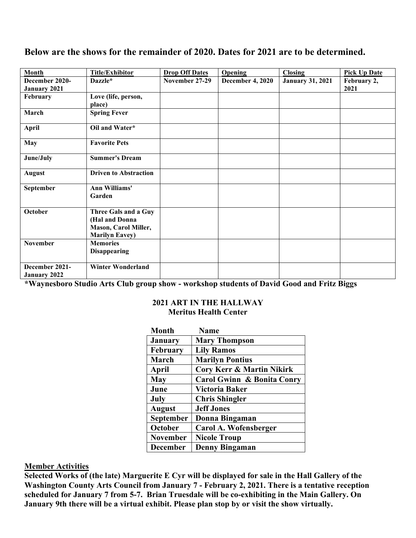# **Below are the shows for the remainder of 2020. Dates for 2021 are to be determined.**

| <b>Month</b>                          | Title/Exhibitor                                                                         | <b>Drop Off Dates</b> | Opening                 | <b>Closing</b>          | <b>Pick Up Date</b> |
|---------------------------------------|-----------------------------------------------------------------------------------------|-----------------------|-------------------------|-------------------------|---------------------|
| December 2020-<br><b>January 2021</b> | Dazzle*                                                                                 | November 27-29        | <b>December 4, 2020</b> | <b>January 31, 2021</b> | February 2,<br>2021 |
| February                              | Love (life, person,<br>place)                                                           |                       |                         |                         |                     |
| March                                 | <b>Spring Fever</b>                                                                     |                       |                         |                         |                     |
| <b>April</b>                          | Oil and Water*                                                                          |                       |                         |                         |                     |
| <b>May</b>                            | <b>Favorite Pets</b>                                                                    |                       |                         |                         |                     |
| June/July                             | <b>Summer's Dream</b>                                                                   |                       |                         |                         |                     |
| <b>August</b>                         | <b>Driven to Abstraction</b>                                                            |                       |                         |                         |                     |
| September                             | <b>Ann Williams'</b><br>Garden                                                          |                       |                         |                         |                     |
| October                               | Three Gals and a Guy<br>(Hal and Donna<br>Mason, Carol Miller,<br><b>Marilyn Eavey)</b> |                       |                         |                         |                     |
| <b>November</b>                       | <b>Memories</b><br><b>Disappearing</b>                                                  |                       |                         |                         |                     |
| December 2021-<br>January 2022        | <b>Winter Wonderland</b>                                                                |                       |                         |                         |                     |

**\*Waynesboro Studio Arts Club group show - workshop students of David Good and Fritz Biggs**

#### **2021 ART IN THE HALLWAY Meritus Health Center**

| <b>Month</b>     | <b>Name</b>                           |
|------------------|---------------------------------------|
| <b>January</b>   | <b>Mary Thompson</b>                  |
| <b>February</b>  | <b>Lily Ramos</b>                     |
| March            | <b>Marilyn Pontius</b>                |
| April            | <b>Cory Kerr &amp; Martin Nikirk</b>  |
| <b>May</b>       | <b>Carol Gwinn &amp; Bonita Conry</b> |
| June             | Victoria Baker                        |
| July             | <b>Chris Shingler</b>                 |
| <b>August</b>    | <b>Jeff Jones</b>                     |
| <b>September</b> | Donna Bingaman                        |
| October          | Carol A. Wofensberger                 |
| <b>November</b>  | <b>Nicole Troup</b>                   |
| <b>December</b>  | Denny Bingaman                        |

#### **Member Activities**

**Selected Works of (the late) Marguerite E Cyr will be displayed for sale in the Hall Gallery of the Washington County Arts Council from January 7 - February 2, 2021. There is a tentative reception scheduled for January 7 from 5-7. Brian Truesdale will be co-exhibiting in the Main Gallery. On January 9th there will be a virtual exhibit. Please plan stop by or visit the show virtually.**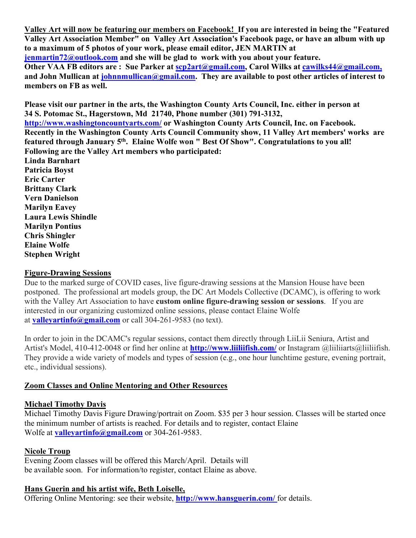**Valley Art will now be featuring our members on Facebook! If you are interested in being the "Featured Valley Art Association Member" on Valley Art Association's Facebook page, or have an album with up to a maximum of 5 photos of your work, please email editor, JEN MARTIN at jenmartin72@outlook.com and she will be glad to work with you about your feature. Other VAA FB editors are : Sue Parker at scp2art@gmail.com, Carol Wilks at cawilks44@gmail.com, and John Mullican at johnnmullican@gmail.com. They are available to post other articles of interest to members on FB as well.**

**Please visit our partner in the arts, the Washington County Arts Council, Inc. either in person at 34 S. Potomac St., Hagerstown, Md 21740, Phone number (301) 791-3132, <http://www.washingtoncountyarts.com/> or Washington County Arts Council, Inc. on Facebook. Recently in the Washington County Arts Council Community show, 11 Valley Art members' works are featured through January 5th. Elaine Wolfe won " Best Of Show". Congratulations to you all! Following are the Valley Art members who participated: Linda Barnhart Patricia Boyst Eric Carter Brittany Clark Vern Danielson Marilyn Eavey Laura Lewis Shindle Marilyn Pontius Chris Shingler Elaine Wolfe**

### **Figure-Drawing Sessions**

**Stephen Wright**

Due to the marked surge of COVID cases, live figure-drawing sessions at the Mansion House have been postponed. The professional art models group, the DC Art Models Collective (DCAMC), is offering to work with the Valley Art Association to have **custom online figure-drawing session or sessions**. If you are interested in our organizing customized online sessions, please contact Elaine Wolfe at **valleyartinfo@gmail.com** or call 304-261-9583 (no text).

In order to join in the DCAMC's regular sessions, contact them directly through LiiLii Seniura, Artist and Artist's Model, 410-412-0048 or find her online at **<http://www.liiliifish.com/>** or Instagram @liiliiarts@liiliifish. They provide a wide variety of models and types of session (e.g., one hour lunchtime gesture, evening portrait, etc., individual sessions).

#### **Zoom Classes and Online Mentoring and Other Resources**

#### **Michael Timothy Davis**

Michael Timothy Davis Figure Drawing/portrait on Zoom. \$35 per 3 hour session. Classes will be started once the minimum number of artists is reached. For details and to register, contact Elaine Wolfe at **[valleyartinfo@gmail.com](mailto:valleyartinfo@gmail.com)** or 304-261-9583.

## **Nicole Troup**

Evening Zoom classes will be offered this March/April. Details will be available soon. For information/to register, contact Elaine as above.

## **Hans Guerin and his artist wife, Beth Loiselle,**

Offering Online Mentoring: see their website, **<http://www.hansguerin.com/>** for details.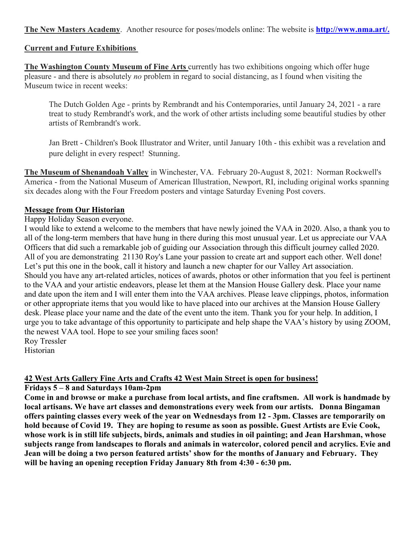**The New Masters Academy**. Another resource for poses/models online: The website is **[http://www.nma.art/.](http://www.nma.art/)**

### **Current and Future Exhibitions**

**The Washington County Museum of Fine Arts** currently has two exhibitions ongoing which offer huge pleasure - and there is absolutely *no* problem in regard to social distancing, as I found when visiting the Museum twice in recent weeks:

The Dutch Golden Age - prints by Rembrandt and his Contemporaries, until January 24, 2021 - a rare treat to study Rembrandt's work, and the work of other artists including some beautiful studies by other artists of Rembrandt's work.

Jan Brett - Children's Book Illustrator and Writer, until January 10th - this exhibit was a revelation and pure delight in every respect! Stunning.

**The Museum of Shenandoah Valley** in Winchester, VA. February 20-August 8, 2021: Norman Rockwell's America - from the National Museum of American Illustration, Newport, RI, including original works spanning six decades along with the Four Freedom posters and vintage Saturday Evening Post covers.

### **Message from Our Historian**

Happy Holiday Season everyone.

I would like to extend a welcome to the members that have newly joined the VAA in 2020. Also, a thank you to all of the long-term members that have hung in there during this most unusual year. Let us appreciate our VAA Officers that did such a remarkable job of guiding our Association through this difficult journey called 2020. All of you are demonstrating 21130 Roy's Lane your passion to create art and support each other. Well done! Let's put this one in the book, call it history and launch a new chapter for our Valley Art association. Should you have any art-related articles, notices of awards, photos or other information that you feel is pertinent to the VAA and your artistic endeavors, please let them at the Mansion House Gallery desk. Place your name and date upon the item and I will enter them into the VAA archives. Please leave clippings, photos, information or other appropriate items that you would like to have placed into our archives at the Mansion House Gallery desk. Please place your name and the date of the event unto the item. Thank you for your help. In addition, I urge you to take advantage of this opportunity to participate and help shape the VAA's history by using ZOOM, the newest VAA tool. Hope to see your smiling faces soon! Roy Tressler

Historian

## **42 West Arts Gallery Fine Arts and Crafts 42 West Main Street is open for business!**

**Fridays 5 – 8 and Saturdays 10am-2pm** 

**Come in and browse or make a purchase from local artists, and fine craftsmen. All work is handmade by local artisans. We have art classes and demonstrations every week from our artists. Donna Bingaman offers painting classes every week of the year on Wednesdays from 12 - 3pm. Classes are temporarily on hold because of Covid 19. They are hoping to resume as soon as possible. Guest Artists are Evie Cook, whose work is in still life subjects, birds, animals and studies in oil painting; and Jean Harshman, whose subjects range from landscapes to florals and animals in watercolor, colored pencil and acrylics. Evie and Jean will be doing a two person featured artists' show for the months of January and February. They will be having an opening reception Friday January 8th from 4:30 - 6:30 pm.**